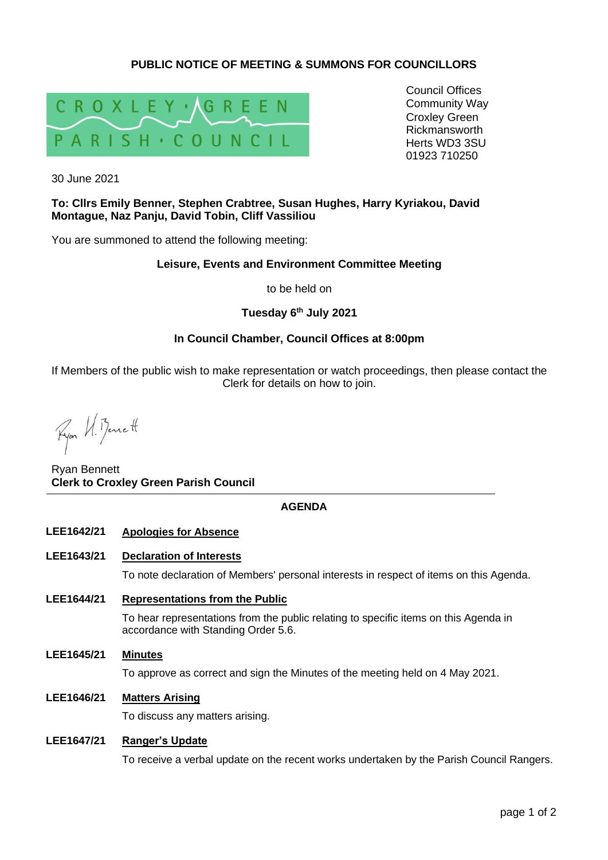# **PUBLIC NOTICE OF MEETING & SUMMONS FOR COUNCILLORS**



Council Offices Community Way Croxley Green Rickmansworth Herts WD3 3SU 01923 710250

30 June 2021

## **To: Cllrs Emily Benner, Stephen Crabtree, Susan Hughes, Harry Kyriakou, David Montague, Naz Panju, David Tobin, Cliff Vassiliou**

You are summoned to attend the following meeting:

## **Leisure, Events and Environment Committee Meeting**

to be held on

# **Tuesday 6 th July 2021**

# **In Council Chamber, Council Offices at 8:00pm**

If Members of the public wish to make representation or watch proceedings, then please contact the Clerk for details on how to join.

Fyor U. Benett

Ryan Bennett **Clerk to Croxley Green Parish Council**

## **AGENDA**

### **LEE1642/21 Apologies for Absence**

#### **LEE1643/21 Declaration of Interests**

To note declaration of Members' personal interests in respect of items on this Agenda.

**LEE1644/21 Representations from the Public**

To hear representations from the public relating to specific items on this Agenda in accordance with Standing Order 5.6.

**LEE1645/21 Minutes**

To approve as correct and sign the Minutes of the meeting held on 4 May 2021.

### **LEE1646/21 Matters Arising**

To discuss any matters arising.

#### **LEE1647/21 Ranger's Update**

To receive a verbal update on the recent works undertaken by the Parish Council Rangers.